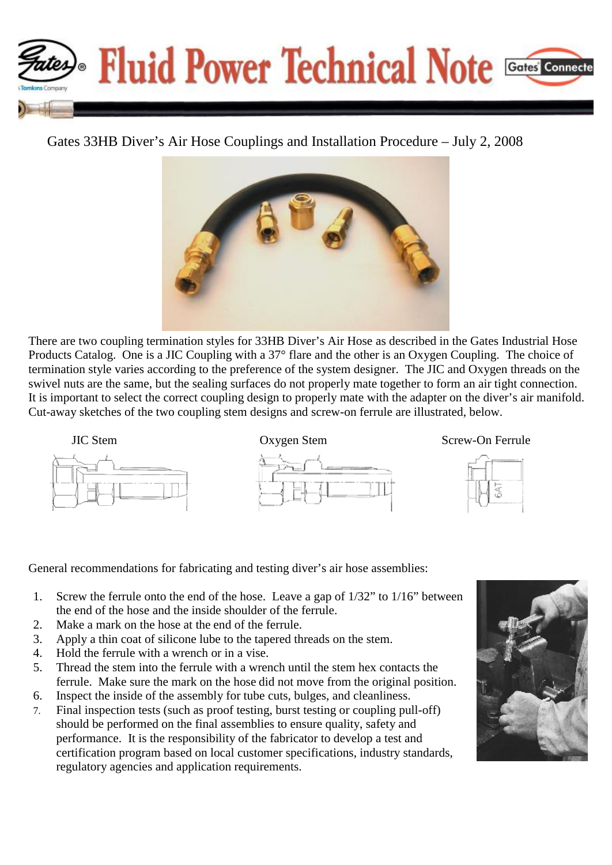

## Gates 33HB Diver's Air Hose Couplings and Installation Procedure – July 2, 2008



There are two coupling termination styles for 33HB Diver's Air Hose as described in the Gates Industrial Hose Products Catalog. One is a JIC Coupling with a 37° flare and the other is an Oxygen Coupling. The choice of termination style varies according to the preference of the system designer. The JIC and Oxygen threads on the swivel nuts are the same, but the sealing surfaces do not properly mate together to form an air tight connection. It is important to select the correct coupling design to properly mate with the adapter on the diver's air manifold. Cut-away sketches of the two coupling stem designs and screw-on ferrule are illustrated, below.







General recommendations for fabricating and testing diver's air hose assemblies:

- 1. Screw the ferrule onto the end of the hose. Leave a gap of 1/32" to 1/16" between the end of the hose and the inside shoulder of the ferrule.
- 2. Make a mark on the hose at the end of the ferrule.
- 3. Apply a thin coat of silicone lube to the tapered threads on the stem.
- 4. Hold the ferrule with a wrench or in a vise.
- 5. Thread the stem into the ferrule with a wrench until the stem hex contacts the ferrule. Make sure the mark on the hose did not move from the original position.
- 6. Inspect the inside of the assembly for tube cuts, bulges, and cleanliness.
- 7. Final inspection tests (such as proof testing, burst testing or coupling pull-off) should be performed on the final assemblies to ensure quality, safety and performance. It is the responsibility of the fabricator to develop a test and certification program based on local customer specifications, industry standards, regulatory agencies and application requirements.